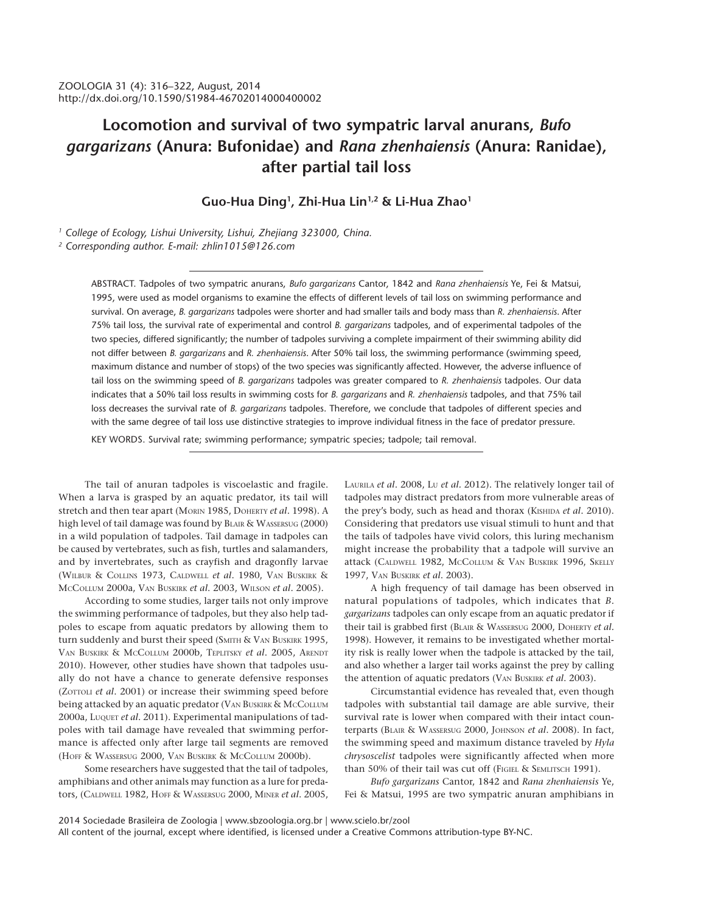# **Locomotion and survival of two sympatric larval anurans,** *Bufo gargarizans* **(Anura: Bufonidae) and** *Rana zhenhaiensis* **(Anura: Ranidae), after partial tail loss**

## **Guo-Hua Ding1 , Zhi-Hua Lin1,2 & Li-Hua Zhao1**

*1 College of Ecology, Lishui University, Lishui, Zhejiang 323000, China. 2 Corresponding author. E-mail: zhlin1015@126.com*

> ABSTRACT. Tadpoles of two sympatric anurans, *Bufo gargarizans* Cantor, 1842 and *Rana zhenhaiensis* Ye, Fei & Matsui, 1995, were used as model organisms to examine the effects of different levels of tail loss on swimming performance and survival. On average, *B. gargarizans* tadpoles were shorter and had smaller tails and body mass than *R. zhenhaiensis*. After 75% tail loss, the survival rate of experimental and control *B. gargarizans* tadpoles, and of experimental tadpoles of the two species, differed significantly; the number of tadpoles surviving a complete impairment of their swimming ability did not differ between *B. gargarizans* and *R. zhenhaiensis*. After 50% tail loss, the swimming performance (swimming speed, maximum distance and number of stops) of the two species was significantly affected. However, the adverse influence of tail loss on the swimming speed of *B. gargarizans* tadpoles was greater compared to *R. zhenhaiensis* tadpoles. Our data indicates that a 50% tail loss results in swimming costs for *B. gargarizans* and *R. zhenhaiensis* tadpoles, and that 75% tail loss decreases the survival rate of *B. gargarizans* tadpoles. Therefore, we conclude that tadpoles of different species and with the same degree of tail loss use distinctive strategies to improve individual fitness in the face of predator pressure.

KEY WORDS. Survival rate; swimming performance; sympatric species; tadpole; tail removal.

The tail of anuran tadpoles is viscoelastic and fragile. When a larva is grasped by an aquatic predator, its tail will stretch and then tear apart (MORIN 1985, DOHERTY *et al*. 1998). A high level of tail damage was found by BLAIR & WASSERSUG (2000) in a wild population of tadpoles. Tail damage in tadpoles can be caused by vertebrates, such as fish, turtles and salamanders, and by invertebrates, such as crayfish and dragonfly larvae (WILBUR & COLLINS 1973, CALDWELL *et al*. 1980, VAN BUSKIRK & MCCOLLUM 2000a, VAN BUSKIRK *et al*. 2003, WILSON *et al*. 2005).

According to some studies, larger tails not only improve the swimming performance of tadpoles, but they also help tadpoles to escape from aquatic predators by allowing them to turn suddenly and burst their speed (SMITH & VAN BUSKIRK 1995, VAN BUSKIRK & MCCOLLUM 2000b, TEPLITSKY *et al*. 2005, ARENDT 2010). However, other studies have shown that tadpoles usually do not have a chance to generate defensive responses (ZOTTOLI *et al*. 2001) or increase their swimming speed before being attacked by an aquatic predator (VAN BUSKIRK & MCCOLLUM 2000a, LUQUET *et al*. 2011). Experimental manipulations of tadpoles with tail damage have revealed that swimming performance is affected only after large tail segments are removed (HOFF & WASSERSUG 2000, VAN BUSKIRK & MCCOLLUM 2000b).

Some researchers have suggested that the tail of tadpoles, amphibians and other animals may function as a lure for predators, (CALDWELL 1982, HOFF & WASSERSUG 2000, MINER *et al*. 2005, LAURILA *et al*. 2008, LU *et al.* 2012). The relatively longer tail of tadpoles may distract predators from more vulnerable areas of the prey's body, such as head and thorax (KISHIDA *et al*. 2010). Considering that predators use visual stimuli to hunt and that the tails of tadpoles have vivid colors, this luring mechanism might increase the probability that a tadpole will survive an attack (CALDWELL 1982, McCOLLUM & VAN BUSKIRK 1996, SKELLY 1997, VAN BUSKIRK *et al*. 2003).

A high frequency of tail damage has been observed in natural populations of tadpoles, which indicates that *B. gargarizans* tadpoles can only escape from an aquatic predator if their tail is grabbed first (BLAIR & WASSERSUG 2000, DOHERTY *et al.* 1998). However, it remains to be investigated whether mortality risk is really lower when the tadpole is attacked by the tail, and also whether a larger tail works against the prey by calling the attention of aquatic predators (VAN BUSKIRK *et al*. 2003).

Circumstantial evidence has revealed that, even though tadpoles with substantial tail damage are able survive, their survival rate is lower when compared with their intact counterparts (BLAIR & WASSERSUG 2000, JOHNSON *et al*. 2008). In fact, the swimming speed and maximum distance traveled by *Hyla chrysoscelist* tadpoles were significantly affected when more than 50% of their tail was cut off (FIGIEL & SEMLITSCH 1991).

*Bufo gargarizans* Cantor, 1842 and *Rana zhenhaiensis* Ye, Fei & Matsui, 1995 are two sympatric anuran amphibians in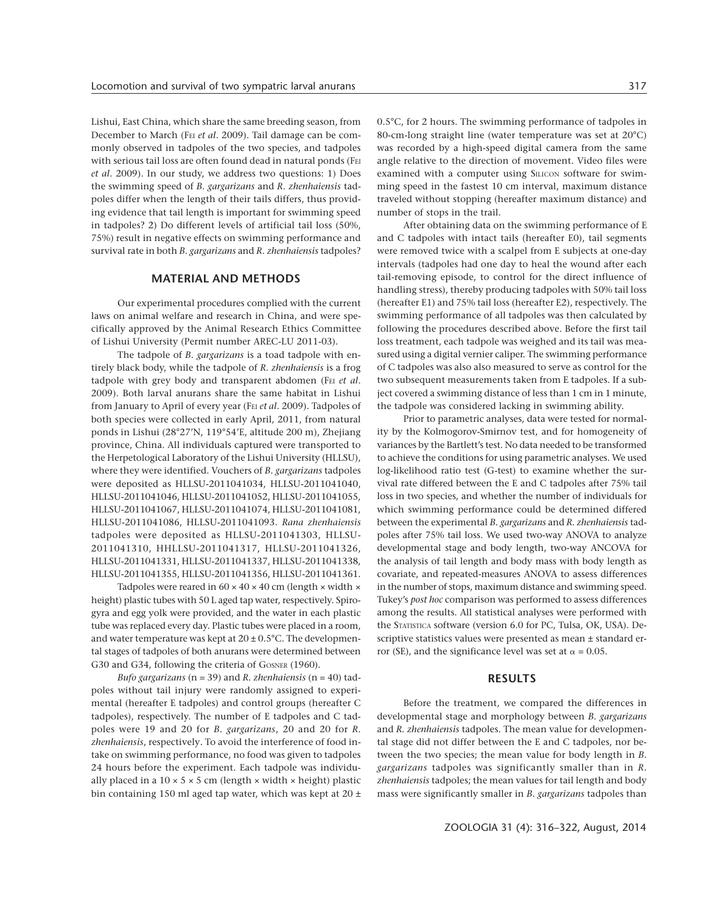Lishui, East China, which share the same breeding season, from December to March (FEI *et al*. 2009). Tail damage can be commonly observed in tadpoles of the two species, and tadpoles with serious tail loss are often found dead in natural ponds (FEI *et al*. 2009). In our study, we address two questions: 1) Does the swimming speed of *B*. *gargarizans* and *R*. *zhenhaiensis* tadpoles differ when the length of their tails differs, thus providing evidence that tail length is important for swimming speed in tadpoles? 2) Do different levels of artificial tail loss (50%, 75%) result in negative effects on swimming performance and survival rate in both *B*. *gargarizans* and *R*. *zhenhaiensis* tadpoles?

#### **MATERIAL AND METHODS**

Our experimental procedures complied with the current laws on animal welfare and research in China, and were specifically approved by the Animal Research Ethics Committee of Lishui University (Permit number AREC-LU 2011-03).

The tadpole of *B*. *gargarizans* is a toad tadpole with entirely black body, while the tadpole of *R*. *zhenhaiensis* is a frog tadpole with grey body and transparent abdomen (FEI *et al*. 2009). Both larval anurans share the same habitat in Lishui from January to April of every year (FEI *et al*. 2009). Tadpoles of both species were collected in early April, 2011, from natural ponds in Lishui (28°27'N, 119°54'E, altitude 200 m), Zhejiang province, China. All individuals captured were transported to the Herpetological Laboratory of the Lishui University (HLLSU), where they were identified. Vouchers of *B. gargarizans* tadpoles were deposited as HLLSU-2011041034, HLLSU-2011041040, HLLSU-2011041046, HLLSU-2011041052, HLLSU-2011041055, HLLSU-2011041067, HLLSU-2011041074, HLLSU-2011041081, HLLSU-2011041086, HLLSU-2011041093. *Rana zhenhaiensis* tadpoles were deposited as HLLSU-2011041303, HLLSU-2011041310, HHLLSU-2011041317, HLLSU-2011041326, HLLSU-2011041331, HLLSU-2011041337, HLLSU-2011041338, HLLSU-2011041355, HLLSU-2011041356, HLLSU-2011041361.

Tadpoles were reared in  $60 \times 40 \times 40$  cm (length  $\times$  width  $\times$ height) plastic tubes with 50 L aged tap water, respectively. Spirogyra and egg yolk were provided, and the water in each plastic tube was replaced every day. Plastic tubes were placed in a room, and water temperature was kept at  $20 \pm 0.5$ °C. The developmental stages of tadpoles of both anurans were determined between G30 and G34, following the criteria of GOSNER (1960).

*Bufo gargarizans* (n = 39) and *R. zhenhaiensis* (n = 40) tadpoles without tail injury were randomly assigned to experimental (hereafter E tadpoles) and control groups (hereafter C tadpoles), respectively. The number of E tadpoles and C tadpoles were 19 and 20 for *B. gargarizans*, 20 and 20 for *R. zhenhaiensis*, respectively*.* To avoid the interference of food intake on swimming performance, no food was given to tadpoles 24 hours before the experiment. Each tadpole was individually placed in a  $10 \times 5 \times 5$  cm (length  $\times$  width  $\times$  height) plastic bin containing 150 ml aged tap water, which was kept at  $20 \pm$ 

0.5°C, for 2 hours. The swimming performance of tadpoles in 80-cm-long straight line (water temperature was set at 20°C) was recorded by a high-speed digital camera from the same angle relative to the direction of movement. Video files were examined with a computer using SILICON software for swimming speed in the fastest 10 cm interval, maximum distance traveled without stopping (hereafter maximum distance) and number of stops in the trail.

After obtaining data on the swimming performance of E and C tadpoles with intact tails (hereafter E0), tail segments were removed twice with a scalpel from E subjects at one-day intervals (tadpoles had one day to heal the wound after each tail-removing episode, to control for the direct influence of handling stress), thereby producing tadpoles with 50% tail loss (hereafter E1) and 75% tail loss (hereafter E2), respectively. The swimming performance of all tadpoles was then calculated by following the procedures described above. Before the first tail loss treatment, each tadpole was weighed and its tail was measured using a digital vernier caliper. The swimming performance of C tadpoles was also also measured to serve as control for the two subsequent measurements taken from E tadpoles. If a subject covered a swimming distance of less than 1 cm in 1 minute, the tadpole was considered lacking in swimming ability.

Prior to parametric analyses, data were tested for normality by the Kolmogorov-Smirnov test, and for homogeneity of variances by the Bartlett's test. No data needed to be transformed to achieve the conditions for using parametric analyses. We used log-likelihood ratio test (G-test) to examine whether the survival rate differed between the E and C tadpoles after 75% tail loss in two species, and whether the number of individuals for which swimming performance could be determined differed between the experimental *B. gargarizans* and *R. zhenhaiensis* tadpoles after 75% tail loss. We used two-way ANOVA to analyze developmental stage and body length, two-way ANCOVA for the analysis of tail length and body mass with body length as covariate, and repeated-measures ANOVA to assess differences in the number of stops, maximum distance and swimming speed. Tukey's *post hoc* comparison was performed to assess differences among the results. All statistical analyses were performed with the STATISTICA software (version 6.0 for PC, Tulsa, OK, USA). Descriptive statistics values were presented as mean ± standard error (SE), and the significance level was set at  $\alpha = 0.05$ .

#### **RESULTS**

Before the treatment, we compared the differences in developmental stage and morphology between *B. gargarizans* and *R. zhenhaiensis* tadpoles. The mean value for developmental stage did not differ between the E and C tadpoles, nor between the two species; the mean value for body length in *B. gargarizans* tadpoles was significantly smaller than in *R. zhenhaiensis* tadpoles; the mean values for tail length and body mass were significantly smaller in *B. gargarizans* tadpoles than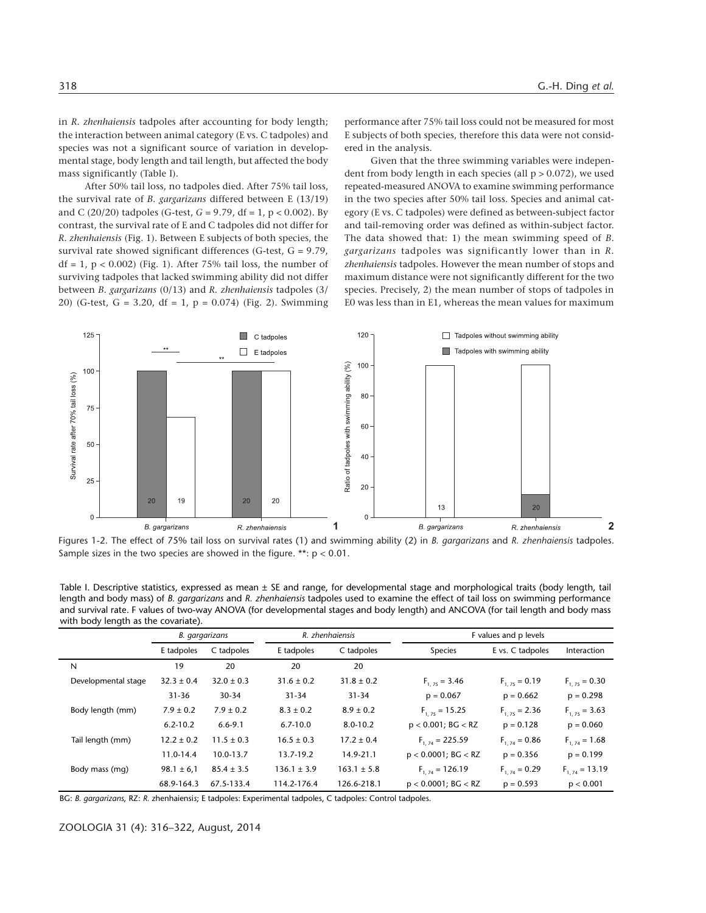in *R. zhenhaiensis* tadpoles after accounting for body length; the interaction between animal category (E vs. C tadpoles) and species was not a significant source of variation in developmental stage, body length and tail length, but affected the body mass significantly (Table I).

After 50% tail loss, no tadpoles died. After 75% tail loss, the survival rate of *B. gargarizans* differed between E (13/19) and C (20/20) tadpoles (G-test, *G* = 9.79, df = 1, p < 0.002). By contrast, the survival rate of E and C tadpoles did not differ for *R. zhenhaiensis* (Fig. 1). Between E subjects of both species, the survival rate showed significant differences (G-test, G = 9.79,  $df = 1$ ,  $p < 0.002$ ) (Fig. 1). After 75% tail loss, the number of surviving tadpoles that lacked swimming ability did not differ between *B. gargarizans* (0/13) and *R. zhenhaiensis* tadpoles (3/ 20) (G-test, G = 3.20, df = 1, p = 0.074) (Fig. 2). Swimming performance after 75% tail loss could not be measured for most E subjects of both species, therefore this data were not considered in the analysis.

Given that the three swimming variables were independent from body length in each species (all  $p > 0.072$ ), we used repeated-measured ANOVA to examine swimming performance in the two species after 50% tail loss. Species and animal category (E vs. C tadpoles) were defined as between-subject factor and tail-removing order was defined as within-subject factor. The data showed that: 1) the mean swimming speed of *B. gargarizans* tadpoles was significantly lower than in *R. zhenhaiensis* tadpoles. However the mean number of stops and maximum distance were not significantly different for the two species. Precisely, 2) the mean number of stops of tadpoles in E0 was less than in E1, whereas the mean values for maximum



Figures 1-2. The effect of 75% tail loss on survival rates (1) and swimming ability (2) in *B. gargarizans* and *R. zhenhaiensis* tadpoles. Sample sizes in the two species are showed in the figure. \*\*:  $p < 0.01$ .

Table I. Descriptive statistics, expressed as mean ± SE and range, for developmental stage and morphological traits (body length, tail length and body mass) of *B. gargarizans* and *R. zhenhaiensis* tadpoles used to examine the effect of tail loss on swimming performance and survival rate. F values of two-way ANOVA (for developmental stages and body length) and ANCOVA (for tail length and body mass with body length as the covariate).

|                     | B. gargarizans |                | R. zhenhaiensis |                 | F values and p levels    |                   |                    |
|---------------------|----------------|----------------|-----------------|-----------------|--------------------------|-------------------|--------------------|
|                     | E tadpoles     | C tadpoles     | E tadpoles      | C tadpoles      | <b>Species</b>           | E vs. C tadpoles  | Interaction        |
| N                   | 19             | 20             | 20              | 20              |                          |                   |                    |
| Developmental stage | $32.3 \pm 0.4$ | $32.0 \pm 0.3$ | $31.6 \pm 0.2$  | $31.8 \pm 0.2$  | $F_{1,25} = 3.46$        | $F_{1,25} = 0.19$ | $F_{1,75} = 0.30$  |
|                     | $31 - 36$      | 30-34          | $31 - 34$       | $31 - 34$       | $p = 0.067$              | $p = 0.662$       | $p = 0.298$        |
| Body length (mm)    | $7.9 \pm 0.2$  | $7.9 \pm 0.2$  | $8.3 \pm 0.2$   | $8.9 \pm 0.2$   | $F_{1,25} = 15.25$       | $F_{1,25} = 2.36$ | $F_{1,25} = 3.63$  |
|                     | $6.2 - 10.2$   | $6.6 - 9.1$    | $6.7 - 10.0$    | $8.0 - 10.2$    | $p < 0.001$ ; BG $<$ RZ  | $p = 0.128$       | $p = 0.060$        |
| Tail length (mm)    | $12.2 \pm 0.2$ | $11.5 \pm 0.3$ | $16.5 \pm 0.3$  | $17.2 \pm 0.4$  | $F_{1,74} = 225.59$      | $F_{1,74} = 0.86$ | $F_{1,74} = 1.68$  |
|                     | 11.0-14.4      | 10.0-13.7      | 13.7-19.2       | 14.9-21.1       | $p < 0.0001$ ; BG $<$ RZ | $p = 0.356$       | $p = 0.199$        |
| Body mass (mg)      | $98.1 \pm 6.1$ | $85.4 \pm 3.5$ | $136.1 \pm 3.9$ | $163.1 \pm 5.8$ | $F_{1,74} = 126.19$      | $F_{1,74} = 0.29$ | $F_{1,74} = 13.19$ |
|                     | 68.9-164.3     | 67.5-133.4     | 114.2-176.4     | 126.6-218.1     | $p < 0.0001$ ; BG $<$ RZ | $p = 0.593$       | p < 0.001          |

BG: *B. gargarizans*, RZ: *R.* zhenhaiensi*s*; E tadpoles: Experimental tadpoles, C tadpoles: Control tadpoles.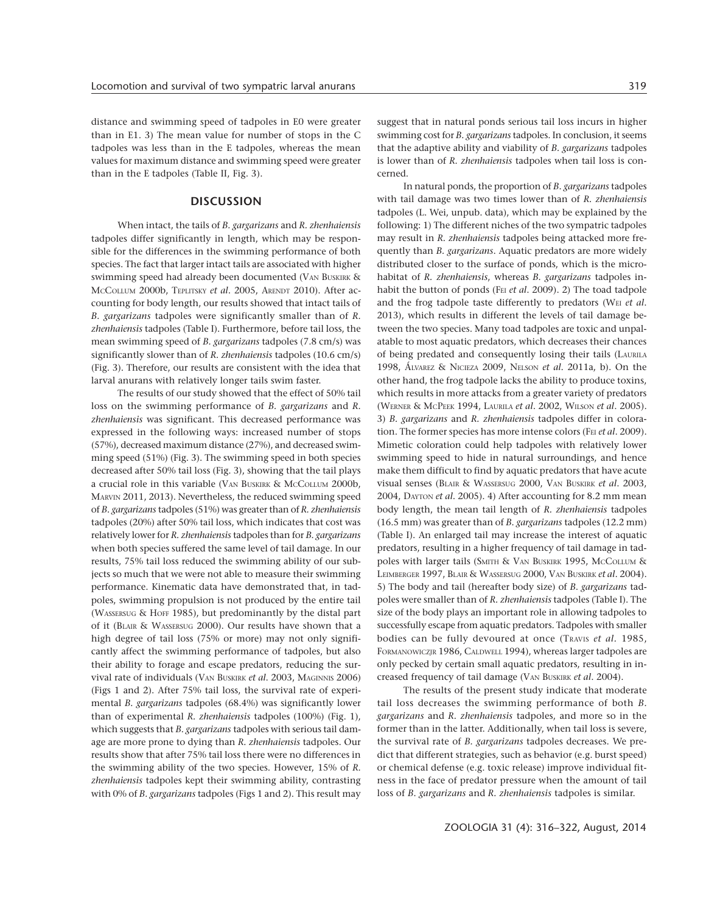distance and swimming speed of tadpoles in E0 were greater than in E1. 3) The mean value for number of stops in the C tadpoles was less than in the E tadpoles, whereas the mean values for maximum distance and swimming speed were greater than in the E tadpoles (Table II, Fig. 3).

#### **DISCUSSION**

When intact, the tails of *B. gargarizans* and *R. zhenhaiensis* tadpoles differ significantly in length, which may be responsible for the differences in the swimming performance of both species. The fact that larger intact tails are associated with higher swimming speed had already been documented (VAN BUSKIRK & MCCOLLUM 2000b, TEPLITSKY *et al*. 2005, ARENDT 2010). After accounting for body length, our results showed that intact tails of *B. gargarizans* tadpoles were significantly smaller than of *R. zhenhaiensis* tadpoles (Table I). Furthermore, before tail loss, the mean swimming speed of *B. gargarizans* tadpoles (7.8 cm/s) was significantly slower than of *R. zhenhaiensis* tadpoles (10.6 cm/s) (Fig. 3). Therefore, our results are consistent with the idea that larval anurans with relatively longer tails swim faster.

The results of our study showed that the effect of 50% tail loss on the swimming performance of *B. gargarizans* and *R. zhenhaiensis* was significant. This decreased performance was expressed in the following ways: increased number of stops (57%), decreased maximum distance (27%), and decreased swimming speed (51%) (Fig. 3). The swimming speed in both species decreased after 50% tail loss (Fig. 3), showing that the tail plays a crucial role in this variable (VAN BUSKIRK & MCCOLLUM 2000b, MARVIN 2011, 2013). Nevertheless, the reduced swimming speed of *B. gargarizans* tadpoles (51%) was greater than of *R. zhenhaiensis* tadpoles (20%) after 50% tail loss, which indicates that cost was relatively lower for *R. zhenhaiensis* tadpoles than for *B. gargarizans* when both species suffered the same level of tail damage. In our results, 75% tail loss reduced the swimming ability of our subjects so much that we were not able to measure their swimming performance. Kinematic data have demonstrated that, in tadpoles, swimming propulsion is not produced by the entire tail (WASSERSUG & HOFF 1985), but predominantly by the distal part of it (BLAIR & WASSERSUG 2000). Our results have shown that a high degree of tail loss (75% or more) may not only significantly affect the swimming performance of tadpoles, but also their ability to forage and escape predators, reducing the survival rate of individuals (VAN BUSKIRK *et al*. 2003, MAGINNIS 2006) (Figs 1 and 2). After 75% tail loss, the survival rate of experimental *B. gargarizans* tadpoles (68.4%) was significantly lower than of experimental *R. zhenhaiensis* tadpoles (100%) (Fig. 1), which suggests that *B. gargarizans* tadpoles with serious tail damage are more prone to dying than *R. zhenhaiensis* tadpoles. Our results show that after 75% tail loss there were no differences in the swimming ability of the two species. However, 15% of *R. zhenhaiensis* tadpoles kept their swimming ability, contrasting with 0% of *B. gargarizans* tadpoles (Figs 1 and 2). This result may

suggest that in natural ponds serious tail loss incurs in higher swimming cost for *B. gargarizans* tadpoles. In conclusion, it seems that the adaptive ability and viability of *B. gargarizans* tadpoles is lower than of *R. zhenhaiensis* tadpoles when tail loss is concerned.

In natural ponds, the proportion of *B. gargarizans* tadpoles with tail damage was two times lower than of *R. zhenhaiensis* tadpoles (L. Wei, unpub. data), which may be explained by the following: 1) The different niches of the two sympatric tadpoles may result in *R. zhenhaiensis* tadpoles being attacked more frequently than *B. gargarizans*. Aquatic predators are more widely distributed closer to the surface of ponds, which is the microhabitat of *R. zhenhaiensis*, whereas *B. gargarizans* tadpoles inhabit the button of ponds (FEI *et al*. 2009). 2) The toad tadpole and the frog tadpole taste differently to predators (WEI *et al*. 2013), which results in different the levels of tail damage between the two species. Many toad tadpoles are toxic and unpalatable to most aquatic predators, which decreases their chances of being predated and consequently losing their tails (LAURILA 1998, ÁLVAREZ & NICIEZA 2009, NELSON *et al*. 2011a, b). On the other hand, the frog tadpole lacks the ability to produce toxins, which results in more attacks from a greater variety of predators (WERNER & MCPEEK 1994, LAURILA *et al*. 2002, WILSON *et al*. 2005). 3) *B. gargarizans* and *R. zhenhaiensis* tadpoles differ in coloration. The former species has more intense colors (FEI *et al*. 2009). Mimetic coloration could help tadpoles with relatively lower swimming speed to hide in natural surroundings, and hence make them difficult to find by aquatic predators that have acute visual senses (BLAIR & WASSERSUG 2000, VAN BUSKIRK *et al*. 2003, 2004, DAYTON *et al*. 2005). 4) After accounting for 8.2 mm mean body length, the mean tail length of *R. zhenhaiensis* tadpoles (16.5 mm) was greater than of *B. gargarizans* tadpoles (12.2 mm) (Table I). An enlarged tail may increase the interest of aquatic predators, resulting in a higher frequency of tail damage in tadpoles with larger tails (SMITH & VAN BUSKIRK 1995, MCCOLLUM & LEIMBERGER 1997, BLAIR & WASSERSUG 2000, VAN BUSKIRK *et al*. 2004). 5) The body and tail (hereafter body size) of *B*. *gargarizans* tadpoles were smaller than of *R. zhenhaiensis* tadpoles (Table I). The size of the body plays an important role in allowing tadpoles to successfully escape from aquatic predators. Tadpoles with smaller bodies can be fully devoured at once (TRAVIS *et al.* 1985, FORMANOWICZJR 1986, CALDWELL 1994), whereas larger tadpoles are only pecked by certain small aquatic predators, resulting in increased frequency of tail damage (VAN BUSKIRK *et al*. 2004).

The results of the present study indicate that moderate tail loss decreases the swimming performance of both *B. gargarizans* and *R. zhenhaiensis* tadpoles, and more so in the former than in the latter. Additionally, when tail loss is severe, the survival rate of *B. gargarizans* tadpoles decreases. We predict that different strategies, such as behavior (e.g. burst speed) or chemical defense (e.g. toxic release) improve individual fitness in the face of predator pressure when the amount of tail loss of *B. gargarizans* and *R. zhenhaiensis* tadpoles is similar.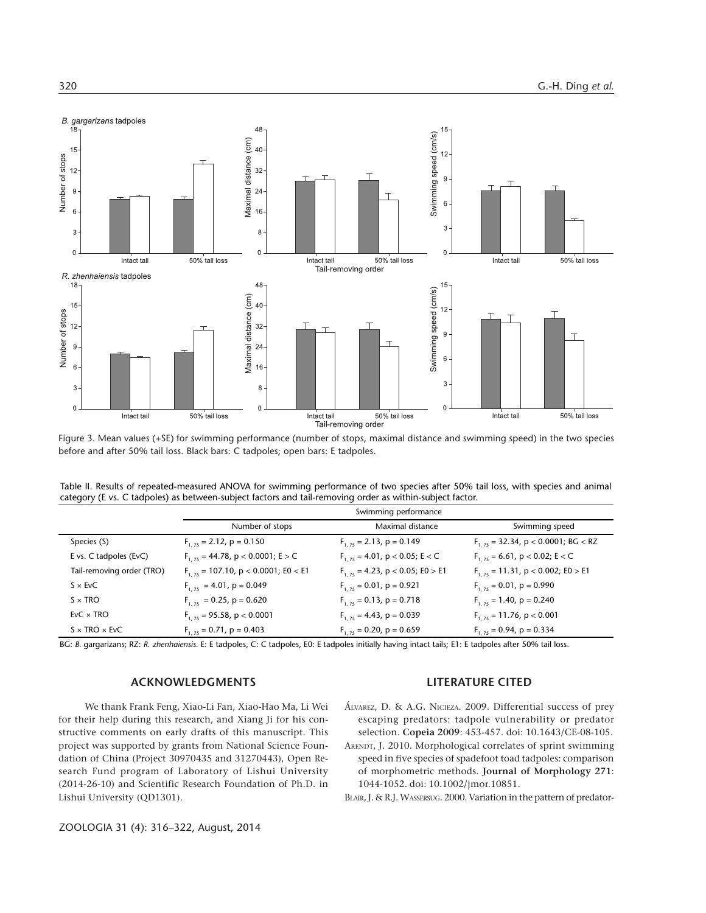

Figure 3. Mean values (+SE) for swimming performance (number of stops, maximal distance and swimming speed) in the two species before and after 50% tail loss. Black bars: C tadpoles; open bars: E tadpoles.

| Table II. Results of repeated-measured ANOVA for swimming performance of two species after 50% tail loss, with species and animal |  |  |  |
|-----------------------------------------------------------------------------------------------------------------------------------|--|--|--|
| category (E vs. C tadpoles) as between-subject factors and tail-removing order as within-subject factor.                          |  |  |  |

|                           | Swimming performance                     |                                        |                                         |  |  |
|---------------------------|------------------------------------------|----------------------------------------|-----------------------------------------|--|--|
|                           | Number of stops                          | Maximal distance                       | Swimming speed                          |  |  |
| Species (S)               | $F_{1,75}$ = 2.12, p = 0.150             | $F_{1,75}$ = 2.13, p = 0.149           | $F_{1.75}$ = 32.34, p < 0.0001; BG < RZ |  |  |
| E vs. C tadpoles (EvC)    | $F_{1,75}$ = 44.78, p < 0.0001; E > C    | $F_{1,75}$ = 4.01, p < 0.05; E < C     | $F_{1.75}$ = 6.61, p < 0.02; E < C      |  |  |
| Tail-removing order (TRO) | $F_{1,75}$ = 107.10, p < 0.0001; E0 < E1 | $F_{1, 75} = 4.23$ , p < 0.05; E0 > E1 | $F_{1.75}$ = 11.31, p < 0.002; E0 > E1  |  |  |
| $S \times$ EvC            | $F_{1,75}$ = 4.01, p = 0.049             | $F_{1,75} = 0.01$ , $p = 0.921$        | $F_{1,75} = 0.01$ , p = 0.990           |  |  |
| $S \times TRO$            | $F_{1,75} = 0.25$ , p = 0.620            | $F_{1,75} = 0.13$ , p = 0.718          | $F_{1,75} = 1.40$ , p = 0.240           |  |  |
| $EvC \times TRO$          | $F_{1,75}$ = 95.58, p < 0.0001           | $F_{1,75} = 4.43$ , p = 0.039          | $F_{1,75}$ = 11.76, p < 0.001           |  |  |
| $S \times TRO \times EVC$ | $F_{1,75} = 0.71$ , p = 0.403            | $F_{1.75} = 0.20$ , p = 0.659          | $F_{1.75} = 0.94$ , p = 0.334           |  |  |
|                           |                                          |                                        |                                         |  |  |

BG: *B.* gargarizan*s*; RZ: *R. zhenhaiensis*. E: E tadpoles, C: C tadpoles, E0: E tadpoles initially having intact tails; E1: E tadpoles after 50% tail loss.

### **ACKNOWLEDGMENTS**

We thank Frank Feng, Xiao-Li Fan, Xiao-Hao Ma, Li Wei for their help during this research, and Xiang Ji for his constructive comments on early drafts of this manuscript. This project was supported by grants from National Science Foundation of China (Project 30970435 and 31270443), Open Research Fund program of Laboratory of Lishui University (2014-26-10) and Scientific Research Foundation of Ph.D. in Lishui University (QD1301).

#### **LITERATURE CITED**

- ÁLVAREZ, D. & A.G. NICIEZA. 2009. Differential success of prey escaping predators: tadpole vulnerability or predator selection. **Copeia 2009**: 453-457. doi: 10.1643/CE-08-105.
- ARENDT, J. 2010. Morphological correlates of sprint swimming speed in five species of spadefoot toad tadpoles: comparison of morphometric methods. **Journal of Morphology 271**: 1044-1052. doi: 10.1002/jmor.10851.
- BLAIR, J. & R.J. WASSERSUG. 2000. Variation in the pattern of predator-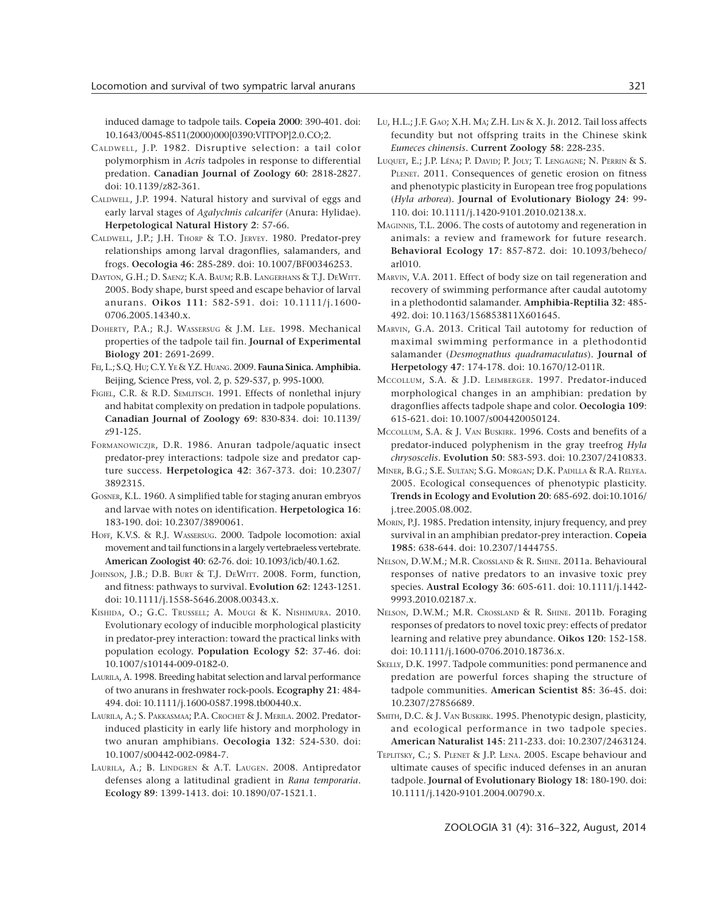induced damage to tadpole tails. **Copeia 2000**: 390-401. doi: 10.1643/0045-8511(2000)000[0390:VITPOP]2.0.CO;2.

- CALDWELL, J.P. 1982. Disruptive selection: a tail color polymorphism in *Acris* tadpoles in response to differential predation. **Canadian Journal of Zoology 60**: 2818-2827. doi: 10.1139/z82-361.
- CALDWELL, J.P. 1994. Natural history and survival of eggs and early larval stages of *Agalychnis calcarifer* (Anura: Hylidae). **Herpetological Natural History 2**: 57-66.
- CALDWELL, J.P.; J.H. THORP & T.O. JERVEY. 1980. Predator-prey relationships among larval dragonflies, salamanders, and frogs. **Oecologia 46**: 285-289. doi: 10.1007/BF00346253.
- DAYTON, G.H.; D. SAENZ; K.A. BAUM; R.B. LANGERHANS & T.J. DEWITT. 2005. Body shape, burst speed and escape behavior of larval anurans. **Oikos 111**: 582-591. doi: 10.1111/j.1600- 0706.2005.14340.x.
- DOHERTY, P.A.; R.J. WASSERSUG & J.M. LEE. 1998. Mechanical properties of the tadpole tail fin. **Journal of Experimental Biology 201**: 2691-2699.
- FEI, L.; S.Q. HU; C.Y. YE & Y.Z. HUANG. 2009. **Fauna Sinica. Amphibia.** Beijing, Science Press, vol. 2, p. 529-537, p. 995-1000.
- FIGIEL, C.R. & R.D. SEMLITSCH. 1991. Effects of nonlethal injury and habitat complexity on predation in tadpole populations. **Canadian Journal of Zoology 69**: 830-834. doi: 10.1139/ z91-125.
- FORMANOWICZJR, D.R. 1986. Anuran tadpole/aquatic insect predator-prey interactions: tadpole size and predator capture success. **Herpetologica 42**: 367-373. doi: 10.2307/ 3892315.
- GOSNER, K.L. 1960. A simplified table for staging anuran embryos and larvae with notes on identification. **Herpetologica 16**: 183-190. doi: 10.2307/3890061.
- HOFF, K.V.S. & R.J. WASSERSUG. 2000. Tadpole locomotion: axial movement and tail functions in a largely vertebraeless vertebrate. **American Zoologist 40**: 62-76. doi: 10.1093/icb/40.1.62.
- JOHNSON, J.B.; D.B. BURT & T.J. DEWITT. 2008. Form, function, and fitness: pathways to survival. **Evolution 62**: 1243-1251. doi: 10.1111/j.1558-5646.2008.00343.x.
- KISHIDA, O.; G.C. TRUSSELL; A. MOUGI & K. NISHIMURA. 2010. Evolutionary ecology of inducible morphological plasticity in predator-prey interaction: toward the practical links with population ecology. **Population Ecology 52**: 37-46. doi: 10.1007/s10144-009-0182-0.
- LAURILA, A. 1998. Breeding habitat selection and larval performance of two anurans in freshwater rock-pools. **Ecography 21**: 484- 494. doi: 10.1111/j.1600-0587.1998.tb00440.x.
- LAURILA, A.; S. PAKKASMAA; P.A. CROCHET & J. MERILA. 2002. Predatorinduced plasticity in early life history and morphology in two anuran amphibians. **Oecologia 132**: 524-530. doi: 10.1007/s00442-002-0984-7.
- LAURILA, A.; B. LINDGREN & A.T. LAUGEN. 2008. Antipredator defenses along a latitudinal gradient in *Rana temporaria*. **Ecology 89**: 1399-1413. doi: 10.1890/07-1521.1.
- LU, H.L.; J.F. GAO; X.H. MA; Z.H. LIN & X. JI. 2012. Tail loss affects fecundity but not offspring traits in the Chinese skink *Eumeces chinensis*. **Current Zoology 58**: 228-235.
- LUQUET, E.; J.P. LÉNA; P. DAVID; P. JOLY; T. LENGAGNE; N. PERRIN & S. PLENET. 2011. Consequences of genetic erosion on fitness and phenotypic plasticity in European tree frog populations (*Hyla arborea*). **Journal of Evolutionary Biology 24**: 99- 110. doi: 10.1111/j.1420-9101.2010.02138.x.
- MAGINNIS, T.L. 2006. The costs of autotomy and regeneration in animals: a review and framework for future research. **Behavioral Ecology 17**: 857-872. doi: 10.1093/beheco/ arl010.
- MARVIN, V.A. 2011. Effect of body size on tail regeneration and recovery of swimming performance after caudal autotomy in a plethodontid salamander. **Amphibia-Reptilia 32**: 485- 492. doi: 10.1163/156853811X601645.
- MARVIN, G.A. 2013. Critical Tail autotomy for reduction of maximal swimming performance in a plethodontid salamander (*Desmognathus quadramaculatus*). **Journal of Herpetology 47**: 174-178. doi: 10.1670/12-011R.
- MCCOLLUM, S.A. & J.D. LEIMBERGER. 1997. Predator-induced morphological changes in an amphibian: predation by dragonflies affects tadpole shape and color. **Oecologia 109**: 615-621. doi: 10.1007/s004420050124.
- MCCOLLUM, S.A. & J. VAN BUSKIRK. 1996. Costs and benefits of a predator-induced polyphenism in the gray treefrog *Hyla chrysoscelis*. **Evolution 50**: 583-593. doi: 10.2307/2410833.
- MINER, B.G.; S.E. SULTAN; S.G. MORGAN; D.K. PADILLA & R.A. RELYEA. 2005. Ecological consequences of phenotypic plasticity. **Trends in Ecology and Evolution 20**: 685-692. doi:10.1016/ j.tree.2005.08.002.
- MORIN, P.J. 1985. Predation intensity, injury frequency, and prey survival in an amphibian predator-prey interaction. **Copeia 1985**: 638-644. doi: 10.2307/1444755.
- NELSON, D.W.M.; M.R. CROSSLAND & R. SHINE. 2011a. Behavioural responses of native predators to an invasive toxic prey species. **Austral Ecology 36**: 605-611. doi: 10.1111/j.1442- 9993.2010.02187.x.
- NELSON, D.W.M.; M.R. CROSSLAND & R. SHINE. 2011b. Foraging responses of predators to novel toxic prey: effects of predator learning and relative prey abundance. **Oikos 120**: 152-158. doi: 10.1111/j.1600-0706.2010.18736.x.
- SKELLY, D.K. 1997. Tadpole communities: pond permanence and predation are powerful forces shaping the structure of tadpole communities. **American Scientist 85**: 36-45. doi: 10.2307/27856689.
- SMITH, D.C. & J. VAN BUSKIRK. 1995. Phenotypic design, plasticity, and ecological performance in two tadpole species. **American Naturalist 145**: 211-233. doi: 10.2307/2463124.
- TEPLITSKY, C.; S. PLENET & J.P. LENA. 2005. Escape behaviour and ultimate causes of specific induced defenses in an anuran tadpole. **Journal of Evolutionary Biology 18**: 180-190. doi: 10.1111/j.1420-9101.2004.00790.x.

ZOOLOGIA 31 (4): 316–322, August, 2014